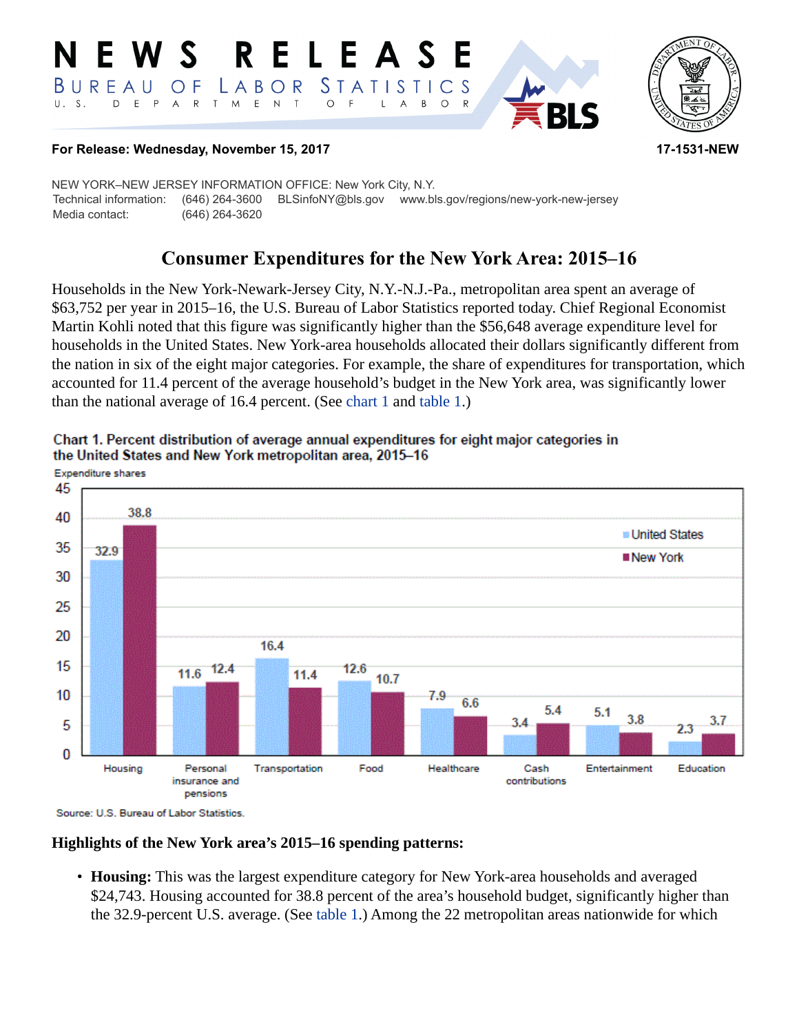#### **RELEASE** W S *STATISTICS* BUREAU  $\overline{O}$  F LABOR D E P A R T M E N  $T$  $\circ$  $U. S.$  $\overline{F}$  $\mathsf{L}$  $\overline{A}$  $B$  $\circ$  $\mathsf{R}$



## **For Release: Wednesday, November 15, 2017 17-1531-NEW**

NEW YORK–NEW JERSEY INFORMATION OFFICE: New York City, N.Y. Technical information: (646) 264-3600 BLSinfoNY@bls.gov www.bls.gov/regions/new-york-new-jersey Media contact: (646) 264-3620

# **Consumer Expenditures for the New York Area: 2015–16**

Households in the New York-Newark-Jersey City, N.Y.-N.J.-Pa., metropolitan area spent an average of \$63,752 per year in 2015–16, the U.S. Bureau of Labor Statistics reported today. Chief Regional Economist Martin Kohli noted that this figure was significantly higher than the \$56,648 average expenditure level for households in the United States. New York-area households allocated their dollars significantly different from the nation in six of the eight major categories. For example, the share of expenditures for transportation, which accounted for 11.4 percent of the average household's budget in the New York area, was significantly lower than the national average of 16.4 percent. (See [chart 1](#page-0-0) and [table 1.](#page-3-0))



<span id="page-0-0"></span>Chart 1. Percent distribution of average annual expenditures for eight major categories in the United States and New York metropolitan area, 2015-16

Source: U.S. Bureau of Labor Statistics.

# **Highlights of the New York area's 2015–16 spending patterns:**

• **Housing:** This was the largest expenditure category for New York-area households and averaged \$24,743. Housing accounted for 38.8 percent of the area's household budget, significantly higher than the 32.9-percent U.S. average. (See [table 1.](#page-3-0)) Among the 22 metropolitan areas nationwide for which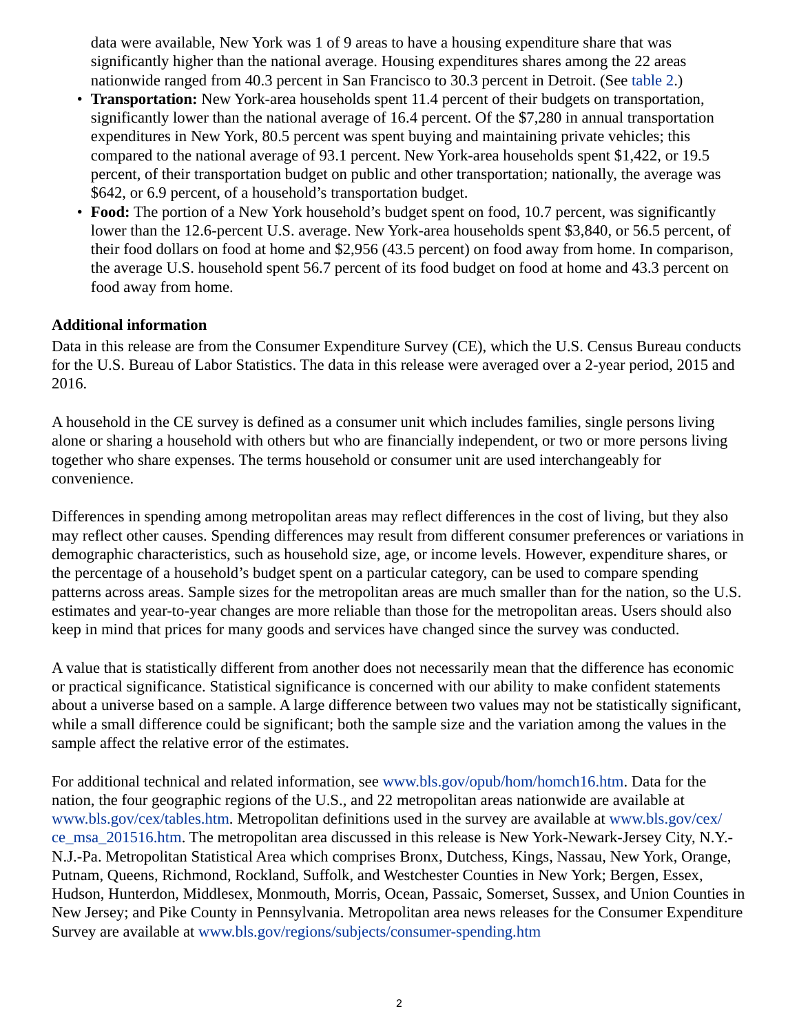data were available, New York was 1 of 9 areas to have a housing expenditure share that was significantly higher than the national average. Housing expenditures shares among the 22 areas nationwide ranged from 40.3 percent in San Francisco to 30.3 percent in Detroit. (See [table 2](#page-4-0).)

- **Transportation:** New York-area households spent 11.4 percent of their budgets on transportation, significantly lower than the national average of 16.4 percent. Of the \$7,280 in annual transportation expenditures in New York, 80.5 percent was spent buying and maintaining private vehicles; this compared to the national average of 93.1 percent. New York-area households spent \$1,422, or 19.5 percent, of their transportation budget on public and other transportation; nationally, the average was \$642, or 6.9 percent, of a household's transportation budget.
- **Food:** The portion of a New York household's budget spent on food, 10.7 percent, was significantly lower than the 12.6-percent U.S. average. New York-area households spent \$3,840, or 56.5 percent, of their food dollars on food at home and \$2,956 (43.5 percent) on food away from home. In comparison, the average U.S. household spent 56.7 percent of its food budget on food at home and 43.3 percent on food away from home.

# **Additional information**

Data in this release are from the Consumer Expenditure Survey (CE), which the U.S. Census Bureau conducts for the U.S. Bureau of Labor Statistics. The data in this release were averaged over a 2-year period, 2015 and 2016.

A household in the CE survey is defined as a consumer unit which includes families, single persons living alone or sharing a household with others but who are financially independent, or two or more persons living together who share expenses. The terms household or consumer unit are used interchangeably for convenience.

Differences in spending among metropolitan areas may reflect differences in the cost of living, but they also may reflect other causes. Spending differences may result from different consumer preferences or variations in demographic characteristics, such as household size, age, or income levels. However, expenditure shares, or the percentage of a household's budget spent on a particular category, can be used to compare spending patterns across areas. Sample sizes for the metropolitan areas are much smaller than for the nation, so the U.S. estimates and year-to-year changes are more reliable than those for the metropolitan areas. Users should also keep in mind that prices for many goods and services have changed since the survey was conducted.

A value that is statistically different from another does not necessarily mean that the difference has economic or practical significance. Statistical significance is concerned with our ability to make confident statements about a universe based on a sample. A large difference between two values may not be statistically significant, while a small difference could be significant; both the sample size and the variation among the values in the sample affect the relative error of the estimates.

For additional technical and related information, see [www.bls.gov/opub/hom/homch16.htm](https://www.bls.gov/opub/hom/homch16.htm). Data for the nation, the four geographic regions of the U.S., and 22 metropolitan areas nationwide are available at [www.bls.gov/cex/tables.htm.](https://www.bls.gov/cex/tables.htm) Metropolitan definitions used in the survey are available at [www.bls.gov/cex/](https://www.bls.gov/cex/ce_msa_201516.htm) [ce\\_msa\\_201516.htm](https://www.bls.gov/cex/ce_msa_201516.htm). The metropolitan area discussed in this release is New York-Newark-Jersey City, N.Y.- N.J.-Pa. Metropolitan Statistical Area which comprises Bronx, Dutchess, Kings, Nassau, New York, Orange, Putnam, Queens, Richmond, Rockland, Suffolk, and Westchester Counties in New York; Bergen, Essex, Hudson, Hunterdon, Middlesex, Monmouth, Morris, Ocean, Passaic, Somerset, Sussex, and Union Counties in New Jersey; and Pike County in Pennsylvania. Metropolitan area news releases for the Consumer Expenditure Survey are available at [www.bls.gov/regions/subjects/consumer-spending.htm](https://www.bls.gov/regions/subjects/consumer-spending.htm)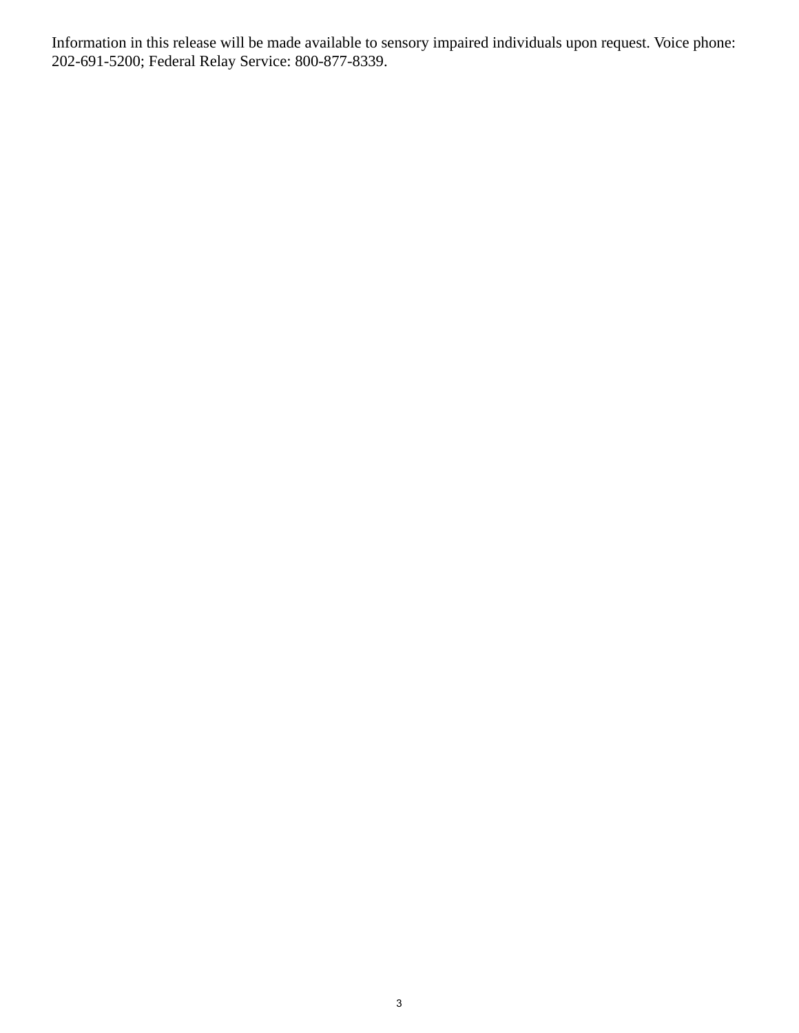Information in this release will be made available to sensory impaired individuals upon request. Voice phone: 202-691-5200; Federal Relay Service: 800-877-8339.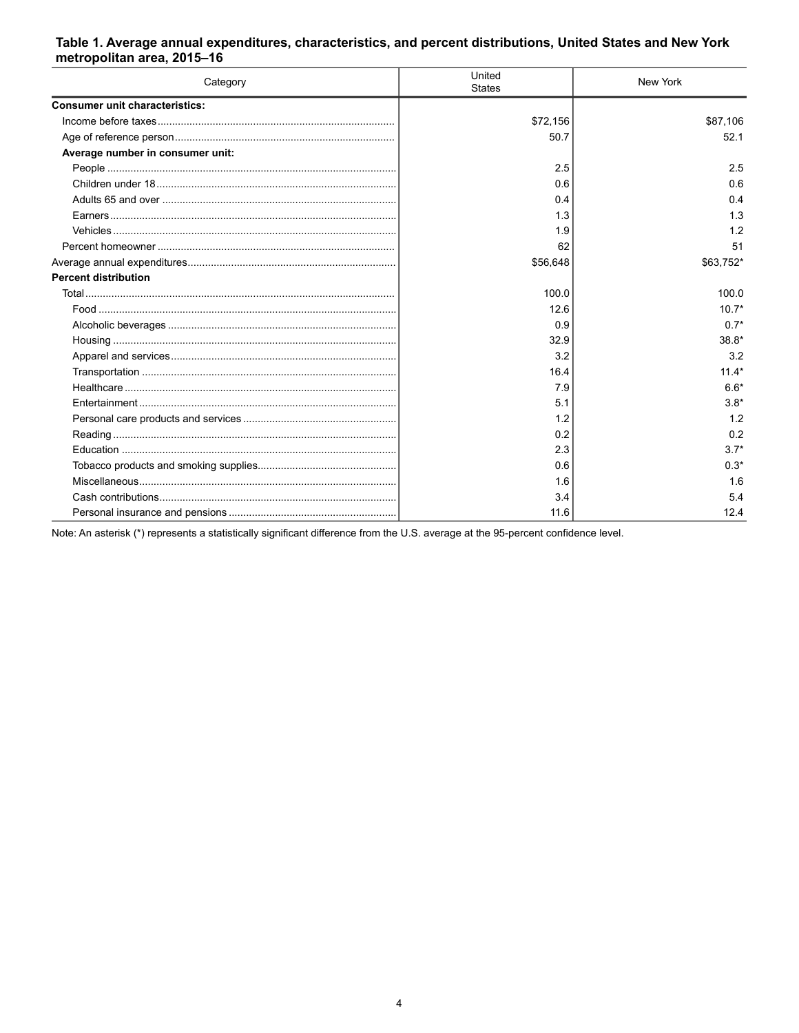## <span id="page-3-0"></span>Table 1. Average annual expenditures, characteristics, and percent distributions, United States and New York metropolitan area, 2015-16

| Category                              | United<br><b>States</b> | New York  |
|---------------------------------------|-------------------------|-----------|
| <b>Consumer unit characteristics:</b> |                         |           |
|                                       | \$72,156                | \$87,106  |
|                                       | 50.7                    | 52.1      |
| Average number in consumer unit:      |                         |           |
|                                       | 2.5                     | 2.5       |
|                                       | 0.6                     | 0.6       |
|                                       | 0.4                     | 0.4       |
|                                       | 1.3                     | 1.3       |
|                                       | 1.9                     | 1.2       |
|                                       | 62                      | 51        |
|                                       | \$56,648                | \$63,752* |
| <b>Percent distribution</b>           |                         |           |
|                                       | 100.0                   | 100.0     |
|                                       | 12.6                    | $10.7*$   |
|                                       | 0.9                     | $0.7*$    |
|                                       | 32.9                    | $38.8*$   |
|                                       | 3.2                     | 3.2       |
|                                       | 16.4                    | $11.4*$   |
|                                       | 7.9                     | $6.6*$    |
|                                       | 5.1                     | $3.8*$    |
|                                       | 1.2                     | 1.2       |
|                                       | 0.2                     | 0.2       |
|                                       | 2.3                     | $3.7*$    |
|                                       | 0.6                     | $0.3*$    |
|                                       | 1.6                     | 1.6       |
|                                       | 3.4                     | 5.4       |
|                                       | 11.6                    | 12.4      |

Note: An asterisk (\*) represents a statistically significant difference from the U.S. average at the 95-percent confidence level.